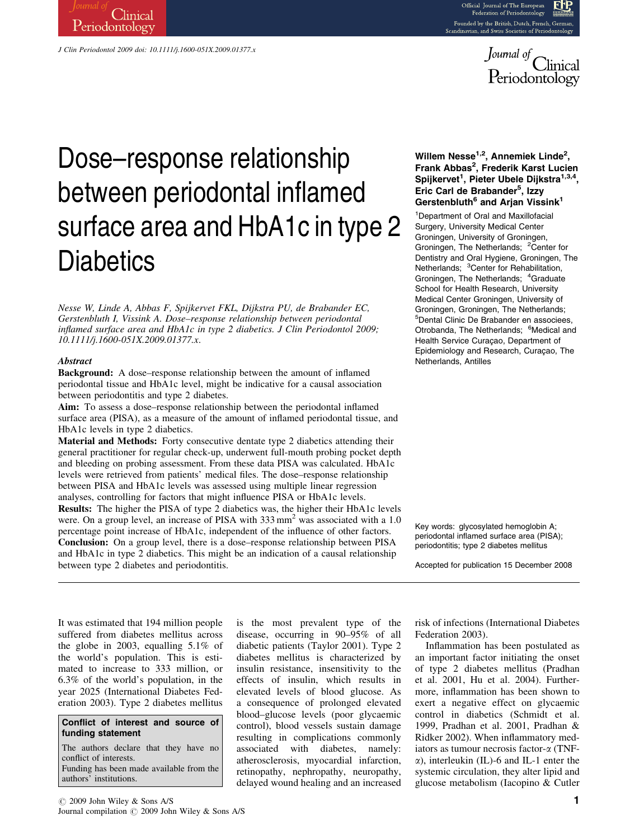



# Dose–response relationship between periodontal inflamed surface area and HbA1c in type 2 **Diabetics**

J Clin Periodontol 2009 doi: 10.1111/j.1600-051X.2009.01377.x

**Clinical** 

Periodontology

Nesse W, Linde A, Abbas F, Spijkervet FKL, Dijkstra PU, de Brabander EC, Gerstenbluth I, Vissink A. Dose–response relationship between periodontal inflamed surface area and HbA1c in type 2 diabetics. J Clin Periodontol 2009; 10.1111/j.1600-051X.2009.01377.x.

#### **Abstract**

Background: A dose–response relationship between the amount of inflamed periodontal tissue and HbA1c level, might be indicative for a causal association between periodontitis and type 2 diabetes.

Aim: To assess a dose–response relationship between the periodontal inflamed surface area (PISA), as a measure of the amount of inflamed periodontal tissue, and HbA1c levels in type 2 diabetics.

Material and Methods: Forty consecutive dentate type 2 diabetics attending their general practitioner for regular check-up, underwent full-mouth probing pocket depth and bleeding on probing assessment. From these data PISA was calculated. HbA1c levels were retrieved from patients' medical files. The dose–response relationship between PISA and HbA1c levels was assessed using multiple linear regression analyses, controlling for factors that might influence PISA or HbA1c levels. Results: The higher the PISA of type 2 diabetics was, the higher their HbA1c levels were. On a group level, an increase of PISA with 333 mm<sup>2</sup> was associated with a 1.0 percentage point increase of HbA1c, independent of the influence of other factors. Conclusion: On a group level, there is a dose–response relationship between PISA and HbA1c in type 2 diabetics. This might be an indication of a causal relationship between type 2 diabetes and periodontitis.

# Willem Nesse<sup>1,2</sup>, Annemiek Linde<sup>2</sup>, Frank Abbas<sup>2</sup>, Frederik Karst Lucien Spijkervet<sup>1</sup>, Pieter Ubele Dijkstra<sup>1,3,4</sup>, Eric Carl de Brabander<sup>5</sup>, Izzy Gerstenbluth<sup>6</sup> and Arjan Vissink<sup>1</sup>

1 Department of Oral and Maxillofacial Surgery, University Medical Center Groningen, University of Groningen, Groningen, The Netherlands; <sup>2</sup>Center for Dentistry and Oral Hygiene, Groningen, The Netherlands; <sup>3</sup>Center for Rehabilitation, Groningen, The Netherlands; <sup>4</sup>Graduate School for Health Research, University Medical Center Groningen, University of Groningen, Groningen, The Netherlands; 5 Dental Clinic De Brabander en associees, Otrobanda, The Netherlands; <sup>6</sup>Medical and Health Service Curaçao, Department of Epidemiology and Research, Curaçao, The Netherlands, Antilles

Key words: glycosylated hemoglobin A; periodontal inflamed surface area (PISA); periodontitis; type 2 diabetes mellitus

Accepted for publication 15 December 2008

It was estimated that 194 million people suffered from diabetes mellitus across the globe in 2003, equalling 5.1% of the world's population. This is estimated to increase to 333 million, or 6.3% of the world's population, in the year 2025 (International Diabetes Federation 2003). Type 2 diabetes mellitus

## Conflict of interest and source of funding statement

The authors declare that they have no conflict of interests. Funding has been made available from the authors' institutions.

is the most prevalent type of the disease, occurring in 90–95% of all diabetic patients (Taylor 2001). Type 2 diabetes mellitus is characterized by insulin resistance, insensitivity to the effects of insulin, which results in elevated levels of blood glucose. As a consequence of prolonged elevated blood–glucose levels (poor glycaemic control), blood vessels sustain damage resulting in complications commonly associated with diabetes, namely: atherosclerosis, myocardial infarction, retinopathy, nephropathy, neuropathy, delayed wound healing and an increased

risk of infections (International Diabetes Federation 2003).

Inflammation has been postulated as an important factor initiating the onset of type 2 diabetes mellitus (Pradhan et al. 2001, Hu et al. 2004). Furthermore, inflammation has been shown to exert a negative effect on glycaemic control in diabetics (Schmidt et al. 1999, Pradhan et al. 2001, Pradhan & Ridker 2002). When inflammatory mediators as tumour necrosis factor- $\alpha$  (TNF- $\alpha$ ), interleukin (IL)-6 and IL-1 enter the systemic circulation, they alter lipid and glucose metabolism (Iacopino & Cutler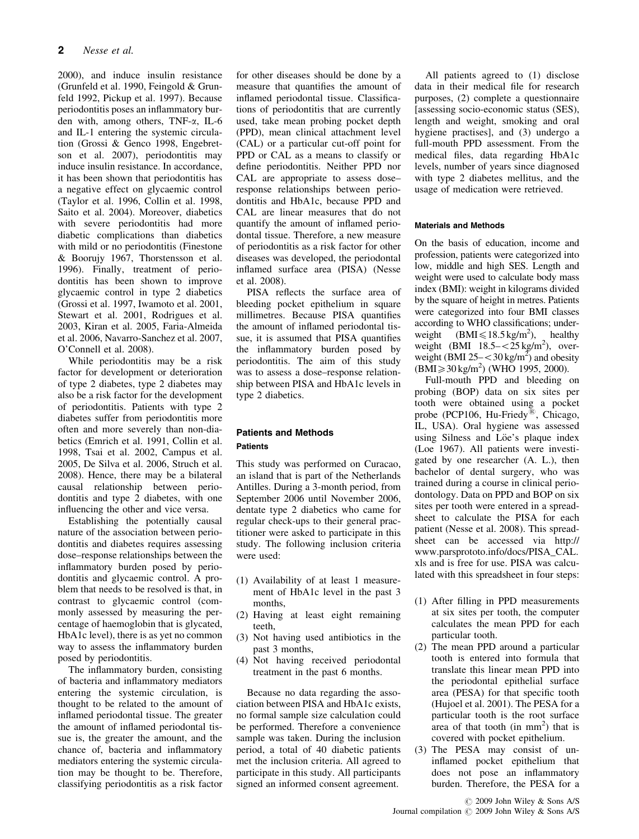2000), and induce insulin resistance (Grunfeld et al. 1990, Feingold & Grunfeld 1992, Pickup et al. 1997). Because periodontitis poses an inflammatory burden with, among others, TNF-a, IL-6 and IL-1 entering the systemic circulation (Grossi & Genco 1998, Engebretson et al. 2007), periodontitis may induce insulin resistance. In accordance, it has been shown that periodontitis has a negative effect on glycaemic control (Taylor et al. 1996, Collin et al. 1998, Saito et al. 2004). Moreover, diabetics with severe periodontitis had more diabetic complications than diabetics with mild or no periodontitis (Finestone & Boorujy 1967, Thorstensson et al. 1996). Finally, treatment of periodontitis has been shown to improve glycaemic control in type 2 diabetics (Grossi et al. 1997, Iwamoto et al. 2001, Stewart et al. 2001, Rodrigues et al. 2003, Kiran et al. 2005, Faria-Almeida et al. 2006, Navarro-Sanchez et al. 2007, O'Connell et al. 2008).

While periodontitis may be a risk factor for development or deterioration of type 2 diabetes, type 2 diabetes may also be a risk factor for the development of periodontitis. Patients with type 2 diabetes suffer from periodontitis more often and more severely than non-diabetics (Emrich et al. 1991, Collin et al. 1998, Tsai et al. 2002, Campus et al. 2005, De Silva et al. 2006, Struch et al. 2008). Hence, there may be a bilateral causal relationship between periodontitis and type 2 diabetes, with one influencing the other and vice versa.

Establishing the potentially causal nature of the association between periodontitis and diabetes requires assessing dose–response relationships between the inflammatory burden posed by periodontitis and glycaemic control. A problem that needs to be resolved is that, in contrast to glycaemic control (commonly assessed by measuring the percentage of haemoglobin that is glycated, HbA1c level), there is as yet no common way to assess the inflammatory burden posed by periodontitis.

The inflammatory burden, consisting of bacteria and inflammatory mediators entering the systemic circulation, is thought to be related to the amount of inflamed periodontal tissue. The greater the amount of inflamed periodontal tissue is, the greater the amount, and the chance of, bacteria and inflammatory mediators entering the systemic circulation may be thought to be. Therefore, classifying periodontitis as a risk factor

for other diseases should be done by a measure that quantifies the amount of inflamed periodontal tissue. Classifications of periodontitis that are currently used, take mean probing pocket depth (PPD), mean clinical attachment level (CAL) or a particular cut-off point for PPD or CAL as a means to classify or define periodontitis. Neither PPD nor CAL are appropriate to assess dose– response relationships between periodontitis and HbA1c, because PPD and CAL are linear measures that do not quantify the amount of inflamed periodontal tissue. Therefore, a new measure of periodontitis as a risk factor for other diseases was developed, the periodontal inflamed surface area (PISA) (Nesse et al. 2008).

PISA reflects the surface area of bleeding pocket epithelium in square millimetres. Because PISA quantifies the amount of inflamed periodontal tissue, it is assumed that PISA quantifies the inflammatory burden posed by periodontitis. The aim of this study was to assess a dose–response relationship between PISA and HbA1c levels in type 2 diabetics.

# Patients and Methods Patients

This study was performed on Curacao, an island that is part of the Netherlands Antilles. During a 3-month period, from September 2006 until November 2006, dentate type 2 diabetics who came for regular check-ups to their general practitioner were asked to participate in this study. The following inclusion criteria were used:

- (1) Availability of at least 1 measurement of HbA1c level in the past 3 months,
- (2) Having at least eight remaining teeth,
- (3) Not having used antibiotics in the past 3 months,
- (4) Not having received periodontal treatment in the past 6 months.

Because no data regarding the association between PISA and HbA1c exists, no formal sample size calculation could be performed. Therefore a convenience sample was taken. During the inclusion period, a total of 40 diabetic patients met the inclusion criteria. All agreed to participate in this study. All participants signed an informed consent agreement.

All patients agreed to (1) disclose data in their medical file for research purposes, (2) complete a questionnaire [assessing socio-economic status (SES), length and weight, smoking and oral hygiene practises], and (3) undergo a full-mouth PPD assessment. From the medical files, data regarding HbA1c levels, number of years since diagnosed with type 2 diabetes mellitus, and the usage of medication were retrieved.

## Materials and Methods

On the basis of education, income and profession, patients were categorized into low, middle and high SES. Length and weight were used to calculate body mass index (BMI): weight in kilograms divided by the square of height in metres. Patients were categorized into four BMI classes according to WHO classifications; underweight  $(BMI \le 18.5 \text{ kg/m}^2)$ , healthy weight (BMI  $18.5 - < 25$  kg/m<sup>2</sup>), overweight (BMI  $25 - \langle 30 \text{ kg/m}^2 \rangle$  and obesity  $(BMI \ge 30 \text{ kg/m}^2)$  (WHO 1995, 2000).

Full-mouth PPD and bleeding on probing (BOP) data on six sites per tooth were obtained using a pocket probe (PCP106, Hu-Friedy $^{(8)}$ , Chicago, IL, USA). Oral hygiene was assessed using Silness and Löe's plaque index (Loe 1967). All patients were investigated by one researcher (A. L.), then bachelor of dental surgery, who was trained during a course in clinical periodontology. Data on PPD and BOP on six sites per tooth were entered in a spreadsheet to calculate the PISA for each patient (Nesse et al. 2008). This spreadsheet can be accessed via http:// www.parsprototo.info/docs/PISA\_CAL. xls and is free for use. PISA was calculated with this spreadsheet in four steps:

- (1) After filling in PPD measurements at six sites per tooth, the computer calculates the mean PPD for each particular tooth.
- (2) The mean PPD around a particular tooth is entered into formula that translate this linear mean PPD into the periodontal epithelial surface area (PESA) for that specific tooth (Hujoel et al. 2001). The PESA for a particular tooth is the root surface area of that tooth (in  $mm<sup>2</sup>$ ) that is covered with pocket epithelium.
- (3) The PESA may consist of uninflamed pocket epithelium that does not pose an inflammatory burden. Therefore, the PESA for a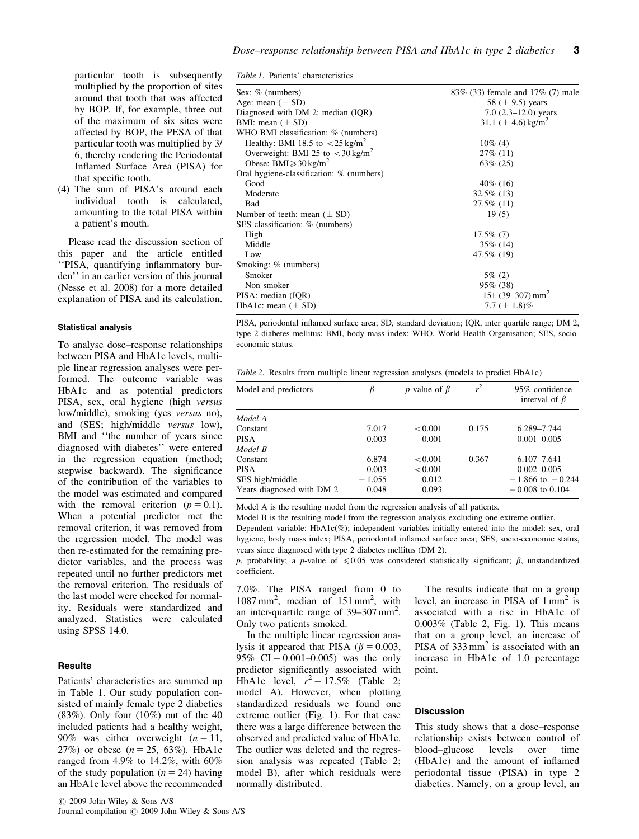particular tooth is subsequently multiplied by the proportion of sites around that tooth that was affected by BOP. If, for example, three out of the maximum of six sites were affected by BOP, the PESA of that particular tooth was multiplied by 3/ 6, thereby rendering the Periodontal Inflamed Surface Area (PISA) for that specific tooth.

(4) The sum of PISA's around each individual tooth is calculated, amounting to the total PISA within a patient's mouth.

Please read the discussion section of this paper and the article entitled ''PISA, quantifying inflammatory burden'' in an earlier version of this journal (Nesse et al. 2008) for a more detailed explanation of PISA and its calculation.

#### Statistical analysis

To analyse dose–response relationships between PISA and HbA1c levels, multiple linear regression analyses were performed. The outcome variable was HbA1c and as potential predictors PISA, sex, oral hygiene (high versus low/middle), smoking (yes versus no), and (SES; high/middle versus low), BMI and ''the number of years since diagnosed with diabetes'' were entered in the regression equation (method; stepwise backward). The significance of the contribution of the variables to the model was estimated and compared with the removal criterion  $(p = 0.1)$ . When a potential predictor met the removal criterion, it was removed from the regression model. The model was then re-estimated for the remaining predictor variables, and the process was repeated until no further predictors met the removal criterion. The residuals of the last model were checked for normality. Residuals were standardized and analyzed. Statistics were calculated using SPSS 14.0.

### **Results**

Patients' characteristics are summed up in Table 1. Our study population consisted of mainly female type 2 diabetics (83%). Only four (10%) out of the 40 included patients had a healthy weight, 90% was either overweight  $(n = 11,$ 27%) or obese  $(n = 25, 63\%)$ . HbA1c ranged from 4.9% to 14.2%, with 60% of the study population  $(n = 24)$  having an HbA1c level above the recommended

| Sex: % (numbers)                                          | 83% (33) female and 17% (7) male    |  |  |
|-----------------------------------------------------------|-------------------------------------|--|--|
| Age: mean $(\pm SD)$                                      | 58 ( $\pm$ 9.5) years               |  |  |
| Diagnosed with DM 2: median (IQR)                         | 7.0 $(2.3-12.0)$ years              |  |  |
| BMI: mean $(\pm SD)$                                      | 31.1 ( $\pm$ 4.6) kg/m <sup>2</sup> |  |  |
| WHO BMI classification: % (numbers)                       |                                     |  |  |
| Healthy: BMI 18.5 to $\langle 25 \text{ kg/m}^2 \rangle$  | $10\%$ (4)                          |  |  |
| Overweight: BMI 25 to $\langle 30 \text{ kg/m}^2 \rangle$ | $27\%$ (11)                         |  |  |
| Obese: BMI $\geq 30$ kg/m <sup>2</sup>                    | $63\%$ (25)                         |  |  |
| Oral hygiene-classification: % (numbers)                  |                                     |  |  |
| Good                                                      | $40\%$ (16)                         |  |  |
| Moderate                                                  | 32.5% (13)                          |  |  |
| Bad                                                       | 27.5% (11)                          |  |  |
| Number of teeth: mean $(\pm SD)$                          | 19(5)                               |  |  |
| SES-classification: % (numbers)                           |                                     |  |  |
| High                                                      | $17.5\%$ (7)                        |  |  |
| Middle                                                    | $35\%$ (14)                         |  |  |
| Low                                                       | 47.5% (19)                          |  |  |
| Smoking: % (numbers)                                      |                                     |  |  |
| Smoker                                                    | $5\%$ (2)                           |  |  |
| Non-smoker                                                | $95\%$ (38)                         |  |  |
| PISA: median (IQR)                                        | 151 (39–307) mm <sup>2</sup>        |  |  |
| HbA1c: mean $(\pm SD)$                                    | 7.7 ( $\pm$ 1.8)%                   |  |  |

PISA, periodontal inflamed surface area; SD, standard deviation; IQR, inter quartile range; DM 2, type 2 diabetes mellitus; BMI, body mass index; WHO, World Health Organisation; SES, socioeconomic status.

Table 2. Results from multiple linear regression analyses (models to predict HbA1c)

| Model and predictors      | ß        | <i>p</i> -value of $\beta$ | $r^2$ | 95% confidence<br>interval of $\beta$ |
|---------------------------|----------|----------------------------|-------|---------------------------------------|
| Model A                   |          |                            |       |                                       |
| Constant                  | 7.017    | < 0.001                    | 0.175 | 6.289-7.744                           |
| <b>PISA</b>               | 0.003    | 0.001                      |       | $0.001 - 0.005$                       |
| Model B                   |          |                            |       |                                       |
| Constant                  | 6.874    | < 0.001                    | 0.367 | $6.107 - 7.641$                       |
| <b>PISA</b>               | 0.003    | < 0.001                    |       | $0.002 - 0.005$                       |
| SES high/middle           | $-1.055$ | 0.012                      |       | $-1.866$ to $-0.244$                  |
| Years diagnosed with DM 2 | 0.048    | 0.093                      |       | $-0.008$ to 0.104                     |

Model A is the resulting model from the regression analysis of all patients.

Model B is the resulting model from the regression analysis excluding one extreme outlier. Dependent variable: HbA1c(%); independent variables initially entered into the model: sex, oral

hygiene, body mass index; PISA, periodontal inflamed surface area; SES, socio-economic status, years since diagnosed with type 2 diabetes mellitus (DM 2).

p, probability; a p-value of  $\leq 0.05$  was considered statistically significant;  $\beta$ , unstandardized coefficient.

7.0%. The PISA ranged from 0 to 1087 mm<sup>2</sup>, median of 151 mm<sup>2</sup>, with an inter-quartile range of  $39-307$  mm<sup>2</sup>. Only two patients smoked.

In the multiple linear regression analysis it appeared that PISA ( $\beta = 0.003$ , 95% CI =  $0.001 - 0.005$ ) was the only predictor significantly associated with HbA1c level,  $r^2 = 17.5\%$  (Table 2; model A). However, when plotting standardized residuals we found one extreme outlier (Fig. 1). For that case there was a large difference between the observed and predicted value of HbA1c. The outlier was deleted and the regression analysis was repeated (Table 2; model B), after which residuals were normally distributed.

The results indicate that on a group level, an increase in PISA of  $1 \text{ mm}^2$  is associated with a rise in HbA1c of 0.003% (Table 2, Fig. 1). This means that on a group level, an increase of PISA of  $333 \text{ mm}^2$  is associated with an increase in HbA1c of 1.0 percentage point.

#### **Discussion**

This study shows that a dose–response relationship exists between control of blood–glucose levels over time (HbA1c) and the amount of inflamed periodontal tissue (PISA) in type 2 diabetics. Namely, on a group level, an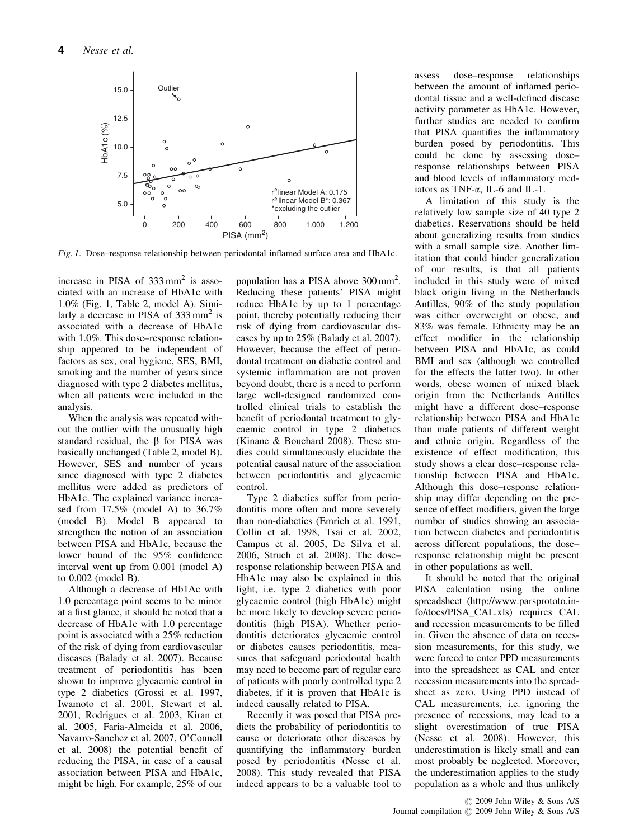

Fig. 1. Dose–response relationship between periodontal inflamed surface area and HbA1c.

increase in PISA of  $333 \text{ mm}^2$  is associated with an increase of HbA1c with 1.0% (Fig. 1, Table 2, model A). Similarly a decrease in PISA of  $333 \text{ mm}^2$  is associated with a decrease of HbA1c with 1.0%. This dose–response relationship appeared to be independent of factors as sex, oral hygiene, SES, BMI, smoking and the number of years since diagnosed with type 2 diabetes mellitus, when all patients were included in the analysis.

When the analysis was repeated without the outlier with the unusually high standard residual, the  $\beta$  for PISA was basically unchanged (Table 2, model B). However, SES and number of years since diagnosed with type 2 diabetes mellitus were added as predictors of HbA1c. The explained variance increased from 17.5% (model A) to 36.7% (model B). Model B appeared to strengthen the notion of an association between PISA and HbA1c, because the lower bound of the 95% confidence interval went up from 0.001 (model A) to 0.002 (model B).

Although a decrease of Hb1Ac with 1.0 percentage point seems to be minor at a first glance, it should be noted that a decrease of HbA1c with 1.0 percentage point is associated with a 25% reduction of the risk of dying from cardiovascular diseases (Balady et al. 2007). Because treatment of periodontitis has been shown to improve glycaemic control in type 2 diabetics (Grossi et al. 1997, Iwamoto et al. 2001, Stewart et al. 2001, Rodrigues et al. 2003, Kiran et al. 2005, Faria-Almeida et al. 2006, Navarro-Sanchez et al. 2007, O'Connell et al. 2008) the potential benefit of reducing the PISA, in case of a causal association between PISA and HbA1c, might be high. For example, 25% of our

population has a PISA above 300 mm<sup>2</sup>. Reducing these patients' PISA might reduce HbA1c by up to 1 percentage point, thereby potentially reducing their risk of dying from cardiovascular diseases by up to 25% (Balady et al. 2007). However, because the effect of periodontal treatment on diabetic control and systemic inflammation are not proven beyond doubt, there is a need to perform large well-designed randomized controlled clinical trials to establish the benefit of periodontal treatment to glycaemic control in type 2 diabetics (Kinane & Bouchard 2008). These studies could simultaneously elucidate the potential causal nature of the association between periodontitis and glycaemic control.

Type 2 diabetics suffer from periodontitis more often and more severely than non-diabetics (Emrich et al. 1991, Collin et al. 1998, Tsai et al. 2002, Campus et al. 2005, De Silva et al. 2006, Struch et al. 2008). The dose– response relationship between PISA and HbA1c may also be explained in this light, i.e. type 2 diabetics with poor glycaemic control (high HbA1c) might be more likely to develop severe periodontitis (high PISA). Whether periodontitis deteriorates glycaemic control or diabetes causes periodontitis, measures that safeguard periodontal health may need to become part of regular care of patients with poorly controlled type 2 diabetes, if it is proven that HbA1c is indeed causally related to PISA.

Recently it was posed that PISA predicts the probability of periodontitis to cause or deteriorate other diseases by quantifying the inflammatory burden posed by periodontitis (Nesse et al. 2008). This study revealed that PISA indeed appears to be a valuable tool to

assess dose–response relationships between the amount of inflamed periodontal tissue and a well-defined disease activity parameter as HbA1c. However, further studies are needed to confirm that PISA quantifies the inflammatory burden posed by periodontitis. This could be done by assessing dose– response relationships between PISA and blood levels of inflammatory mediators as TNF-a, IL-6 and IL-1.

A limitation of this study is the relatively low sample size of 40 type 2 diabetics. Reservations should be held about generalizing results from studies with a small sample size. Another limitation that could hinder generalization of our results, is that all patients included in this study were of mixed black origin living in the Netherlands Antilles, 90% of the study population was either overweight or obese, and 83% was female. Ethnicity may be an effect modifier in the relationship between PISA and HbA1c, as could BMI and sex (although we controlled for the effects the latter two). In other words, obese women of mixed black origin from the Netherlands Antilles might have a different dose–response relationship between PISA and HbA1c than male patients of different weight and ethnic origin. Regardless of the existence of effect modification, this study shows a clear dose–response relationship between PISA and HbA1c. Although this dose–response relationship may differ depending on the presence of effect modifiers, given the large number of studies showing an association between diabetes and periodontitis across different populations, the dose– response relationship might be present in other populations as well.

It should be noted that the original PISA calculation using the online spreadsheet (http://www.parsprototo.info/docs/PISA\_CAL.xls) requires CAL and recession measurements to be filled in. Given the absence of data on recession measurements, for this study, we were forced to enter PPD measurements into the spreadsheet as CAL and enter recession measurements into the spreadsheet as zero. Using PPD instead of CAL measurements, i.e. ignoring the presence of recessions, may lead to a slight overestimation of true PISA (Nesse et al. 2008). However, this underestimation is likely small and can most probably be neglected. Moreover, the underestimation applies to the study population as a whole and thus unlikely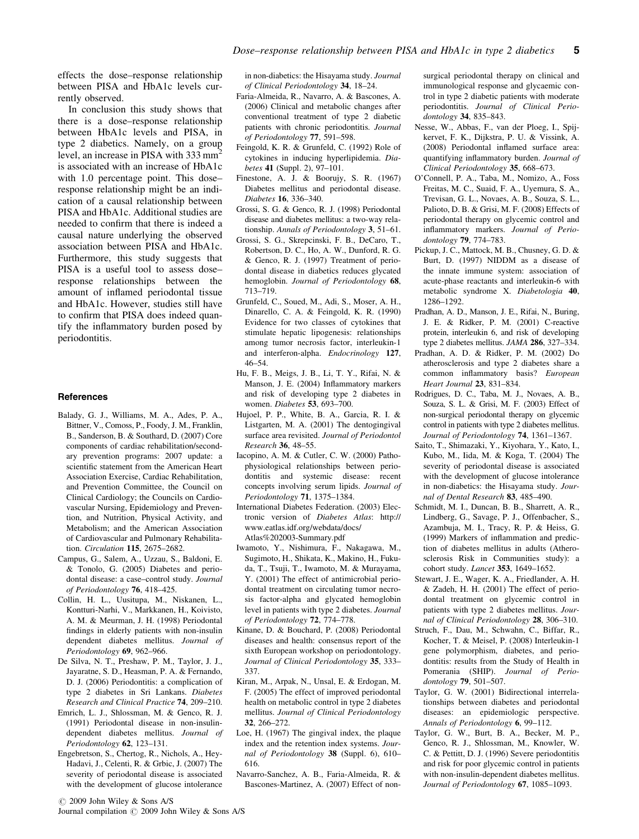effects the dose–response relationship between PISA and HbA1c levels currently observed.

In conclusion this study shows that there is a dose–response relationship between HbA1c levels and PISA, in type 2 diabetics. Namely, on a group level, an increase in PISA with 333 mm<sup>2</sup> is associated with an increase of HbA1c with 1.0 percentage point. This doseresponse relationship might be an indication of a causal relationship between PISA and HbA1c. Additional studies are needed to confirm that there is indeed a causal nature underlying the observed association between PISA and HbA1c. Furthermore, this study suggests that PISA is a useful tool to assess dose– response relationships between the amount of inflamed periodontal tissue and HbA1c. However, studies still have to confirm that PISA does indeed quantify the inflammatory burden posed by periodontitis.

#### **References**

- Balady, G. J., Williams, M. A., Ades, P. A., Bittner, V., Comoss, P., Foody, J. M., Franklin, B., Sanderson, B. & Southard, D. (2007) Core components of cardiac rehabilitation/secondary prevention programs: 2007 update: a scientific statement from the American Heart Association Exercise, Cardiac Rehabilitation, and Prevention Committee, the Council on Clinical Cardiology; the Councils on Cardiovascular Nursing, Epidemiology and Prevention, and Nutrition, Physical Activity, and Metabolism; and the American Association of Cardiovascular and Pulmonary Rehabilitation. Circulation 115, 2675–2682.
- Campus, G., Salem, A., Uzzau, S., Baldoni, E. & Tonolo, G. (2005) Diabetes and periodontal disease: a case–control study. Journal of Periodontology 76, 418–425.
- Collin, H. L., Uusitupa, M., Niskanen, L., Kontturi-Narhi, V., Markkanen, H., Koivisto, A. M. & Meurman, J. H. (1998) Periodontal findings in elderly patients with non-insulin dependent diabetes mellitus. Journal of Periodontology 69, 962-966.
- De Silva, N. T., Preshaw, P. M., Taylor, J. J., Jayaratne, S. D., Heasman, P. A. & Fernando, D. J. (2006) Periodontitis: a complication of type 2 diabetes in Sri Lankans. Diabetes Research and Clinical Practice 74, 209–210.
- Emrich, L. J., Shlossman, M. & Genco, R. J. (1991) Periodontal disease in non-insulindependent diabetes mellitus. Journal of Periodontology 62, 123–131.
- Engebretson, S., Chertog, R., Nichols, A., Hey-Hadavi, J., Celenti, R. & Grbic, J. (2007) The severity of periodontal disease is associated with the development of glucose intolerance

in non-diabetics: the Hisayama study. Journal of Clinical Periodontology 34, 18–24.

- Faria-Almeida, R., Navarro, A. & Bascones, A. (2006) Clinical and metabolic changes after conventional treatment of type 2 diabetic patients with chronic periodontitis. Journal of Periodontology 77, 591–598.
- Feingold, K. R. & Grunfeld, C. (1992) Role of cytokines in inducing hyperlipidemia. Diabetes 41 (Suppl. 2), 97–101.
- Finestone, A. J. & Boorujy, S. R. (1967) Diabetes mellitus and periodontal disease. Diabetes 16, 336–340.
- Grossi, S. G. & Genco, R. J. (1998) Periodontal disease and diabetes mellitus: a two-way relationship. Annals of Periodontology 3, 51–61.
- Grossi, S. G., Skrepcinski, F. B., DeCaro, T., Robertson, D. C., Ho, A. W., Dunford, R. G. & Genco, R. J. (1997) Treatment of periodontal disease in diabetics reduces glycated hemoglobin. Journal of Periodontology 68, 713–719.
- Grunfeld, C., Soued, M., Adi, S., Moser, A. H., Dinarello, C. A. & Feingold, K. R. (1990) Evidence for two classes of cytokines that stimulate hepatic lipogenesis: relationships among tumor necrosis factor, interleukin-1 and interferon-alpha. Endocrinology 127, 46–54.
- Hu, F. B., Meigs, J. B., Li, T. Y., Rifai, N. & Manson, J. E. (2004) Inflammatory markers and risk of developing type 2 diabetes in women. Diabetes 53, 693–700.
- Hujoel, P. P., White, B. A., Garcia, R. I. & Listgarten, M. A. (2001) The dentogingival surface area revisited. Journal of Periodontol Research 36, 48–55.
- Iacopino, A. M. & Cutler, C. W. (2000) Pathophysiological relationships between periodontitis and systemic disease: recent concepts involving serum lipids. Journal of Periodontology 71, 1375–1384.
- International Diabetes Federation. (2003) Electronic version of Diabetes Atlas: http:// www.eatlas.idf.org/webdata/docs/ Atlas%202003-Summary.pdf
- Iwamoto, Y., Nishimura, F., Nakagawa, M., Sugimoto, H., Shikata, K., Makino, H., Fukuda, T., Tsuji, T., Iwamoto, M. & Murayama, Y. (2001) The effect of antimicrobial periodontal treatment on circulating tumor necrosis factor-alpha and glycated hemoglobin level in patients with type 2 diabetes. Journal of Periodontology 72, 774–778.
- Kinane, D. & Bouchard, P. (2008) Periodontal diseases and health: consensus report of the sixth European workshop on periodontology. Journal of Clinical Periodontology 35, 333– 337.
- Kiran, M., Arpak, N., Unsal, E. & Erdogan, M. F. (2005) The effect of improved periodontal health on metabolic control in type 2 diabetes mellitus. Journal of Clinical Periodontology 32, 266–272.
- Loe, H. (1967) The gingival index, the plaque index and the retention index systems. Journal of Periodontology 38 (Suppl. 6), 610– 616.
- Navarro-Sanchez, A. B., Faria-Almeida, R. & Bascones-Martinez, A. (2007) Effect of non-

surgical periodontal therapy on clinical and immunological response and glycaemic control in type 2 diabetic patients with moderate periodontitis. Journal of Clinical Periodontology 34, 835–843.

- Nesse, W., Abbas, F., van der Ploeg, I., Spijkervet, F. K., Dijkstra, P. U. & Vissink, A. (2008) Periodontal inflamed surface area: quantifying inflammatory burden. Journal of Clinical Periodontology 35, 668–673.
- O'Connell, P. A., Taba, M., Nomizo, A., Foss Freitas, M. C., Suaid, F. A., Uyemura, S. A., Trevisan, G. L., Novaes, A. B., Souza, S. L., Palioto, D. B. & Grisi, M. F. (2008) Effects of periodontal therapy on glycemic control and inflammatory markers. Journal of Periodontology 79, 774–783.
- Pickup, J. C., Mattock, M. B., Chusney, G. D. & Burt, D. (1997) NIDDM as a disease of the innate immune system: association of acute-phase reactants and interleukin-6 with metabolic syndrome X. Diabetologia 40, 1286–1292.
- Pradhan, A. D., Manson, J. E., Rifai, N., Buring, J. E. & Ridker, P. M. (2001) C-reactive protein, interleukin 6, and risk of developing type 2 diabetes mellitus. JAMA 286, 327–334.
- Pradhan, A. D. & Ridker, P. M. (2002) Do atherosclerosis and type 2 diabetes share a common inflammatory basis? European Heart Journal 23, 831–834.
- Rodrigues, D. C., Taba, M. J., Novaes, A. B., Souza, S. L. & Grisi, M. F. (2003) Effect of non-surgical periodontal therapy on glycemic control in patients with type 2 diabetes mellitus. Journal of Periodontology 74, 1361–1367.
- Saito, T., Shimazaki, Y., Kiyohara, Y., Kato, I., Kubo, M., Iida, M. & Koga, T. (2004) The severity of periodontal disease is associated with the development of glucose intolerance in non-diabetics: the Hisayama study. Journal of Dental Research 83, 485–490.
- Schmidt, M. I., Duncan, B. B., Sharrett, A. R., Lindberg, G., Savage, P. J., Offenbacher, S., Azambuja, M. I., Tracy, R. P. & Heiss, G. (1999) Markers of inflammation and prediction of diabetes mellitus in adults (Atherosclerosis Risk in Communities study): a cohort study. Lancet 353, 1649–1652.
- Stewart, J. E., Wager, K. A., Friedlander, A. H. & Zadeh, H. H. (2001) The effect of periodontal treatment on glycemic control in patients with type 2 diabetes mellitus. Journal of Clinical Periodontology 28, 306-310.
- Struch, F., Dau, M., Schwahn, C., Biffar, R., Kocher, T. & Meisel, P. (2008) Interleukin-1 gene polymorphism, diabetes, and periodontitis: results from the Study of Health in Pomerania (SHIP). Journal of Periodontology 79, 501–507.
- Taylor, G. W. (2001) Bidirectional interrelationships between diabetes and periodontal diseases: an epidemiologic perspective. Annals of Periodontology 6, 99–112.
- Taylor, G. W., Burt, B. A., Becker, M. P., Genco, R. J., Shlossman, M., Knowler, W. C. & Pettitt, D. J. (1996) Severe periodontitis and risk for poor glycemic control in patients with non-insulin-dependent diabetes mellitus. Journal of Periodontology 67, 1085–1093.

 $\oslash$  2009 John Wiley & Sons A/S Journal compilation  $\odot$  2009 John Wiley & Sons A/S